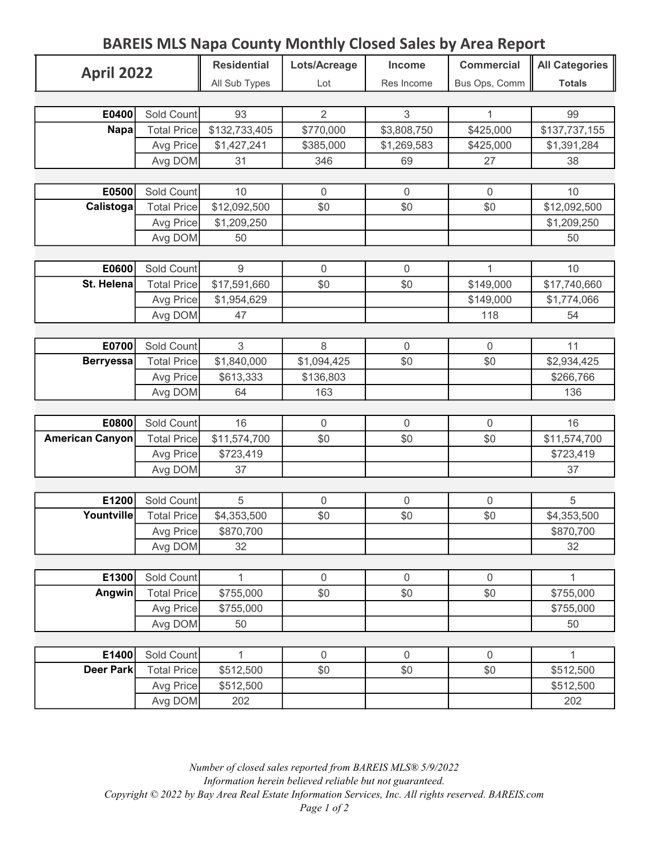## BAREIS MLS Napa County Monthly Closed Sales by Area Report

| <b>April 2022</b>      |                                  | <b>Residential</b> | Lots/Acreage     | Income         | <b>Commercial</b> | <b>All Categories</b> |
|------------------------|----------------------------------|--------------------|------------------|----------------|-------------------|-----------------------|
|                        |                                  | All Sub Types      | Lot              | Res Income     | Bus Ops, Comm     | <b>Totals</b>         |
|                        |                                  |                    |                  |                |                   |                       |
| E0400                  | Sold Count                       | 93                 | $\overline{2}$   | 3              | 1                 | 99                    |
| Napa                   | <b>Total Price</b>               | \$132,733,405      | \$770,000        | \$3,808,750    | \$425,000         | \$137,737,155         |
|                        | Avg Price                        | \$1,427,241        | \$385,000        | \$1,269,583    | \$425,000         | \$1,391,284           |
|                        | Avg DOM                          | 31                 | 346              | 69             | 27                | 38                    |
|                        |                                  |                    |                  |                |                   |                       |
| E0500                  | Sold Count                       | 10                 | $\mathbf 0$      | $\mathbf 0$    | $\overline{0}$    | 10                    |
| Calistoga              | <b>Total Price</b>               | \$12,092,500       | \$0              | \$0            | \$0               | \$12,092,500          |
|                        | Avg Price                        | \$1,209,250        |                  |                |                   | \$1,209,250           |
|                        | Avg DOM                          | 50                 |                  |                |                   | 50                    |
|                        |                                  |                    |                  |                |                   |                       |
| E0600                  | Sold Count                       | $9\,$              | $\boldsymbol{0}$ | $\mathbf 0$    | 1                 | 10                    |
| St. Helena             | <b>Total Price</b>               | \$17,591,660       | \$0              | \$0            | \$149,000         | \$17,740,660          |
|                        | Avg Price                        | \$1,954,629        |                  |                | \$149,000         | \$1,774,066           |
|                        | Avg DOM                          | 47                 |                  |                | 118               | 54                    |
|                        |                                  |                    |                  |                |                   |                       |
| E0700                  | Sold Count                       | 3                  | 8                | $\overline{0}$ | $\mathbf 0$       | 11                    |
| <b>Berryessa</b>       | <b>Total Price</b>               | \$1,840,000        | \$1,094,425      | \$0            | \$0               | \$2,934,425           |
|                        | Avg Price                        | \$613,333          | \$136,803        |                |                   | \$266,766             |
|                        | Avg DOM                          | 64                 | 163              |                |                   | 136                   |
|                        |                                  |                    |                  |                |                   |                       |
| E0800                  | Sold Count                       | 16                 | $\mathbf 0$      | $\mathbf 0$    | $\mathbf 0$       | 16                    |
| <b>American Canyon</b> | <b>Total Price</b>               | \$11,574,700       | \$0              | \$0            | \$0               | \$11,574,700          |
|                        | Avg Price                        | \$723,419          |                  |                |                   | \$723,419             |
|                        | Avg DOM                          | 37                 |                  |                |                   | 37                    |
|                        |                                  |                    |                  |                |                   |                       |
| E1200                  | Sold Count                       | $5\,$              | $\overline{0}$   | $\mathbf{0}$   | $\mathbf 0$       | 5                     |
| Yountville             | <b>Total Price</b>               | \$4,353,500        | \$0              | \$0            | \$0               | \$4,353,500           |
|                        | Avg Price                        | \$870,700          |                  |                |                   | \$870,700             |
|                        | Avg DOM                          | 32                 |                  |                |                   | 32                    |
| E1300                  |                                  | 1                  | $\boldsymbol{0}$ | $\mathbf 0$    | $\mathbf 0$       | 1                     |
| Angwin                 | Sold Count<br><b>Total Price</b> | \$755,000          | \$0              | \$0            | \$0               | \$755,000             |
|                        | Avg Price                        | \$755,000          |                  |                |                   | \$755,000             |
|                        |                                  | 50                 |                  |                |                   | 50                    |
|                        | Avg DOM                          |                    |                  |                |                   |                       |
| E1400                  | Sold Count                       | 1                  | $\mathbf 0$      | $\mathbf 0$    | $\mathbf 0$       | $\mathbf{1}$          |
| <b>Deer Park</b>       | <b>Total Price</b>               | \$512,500          | \$0              | \$0            | \$0               | \$512,500             |
|                        | Avg Price                        | \$512,500          |                  |                |                   | \$512,500             |
|                        | Avg DOM                          | 202                |                  |                |                   | 202                   |
|                        |                                  |                    |                  |                |                   |                       |

Number of closed sales reported from BAREIS MLS® 5/9/2022 Information herein believed reliable but not guaranteed. Copyright © 2022 by Bay Area Real Estate Information Services, Inc. All rights reserved. BAREIS.com Page 1 of 2